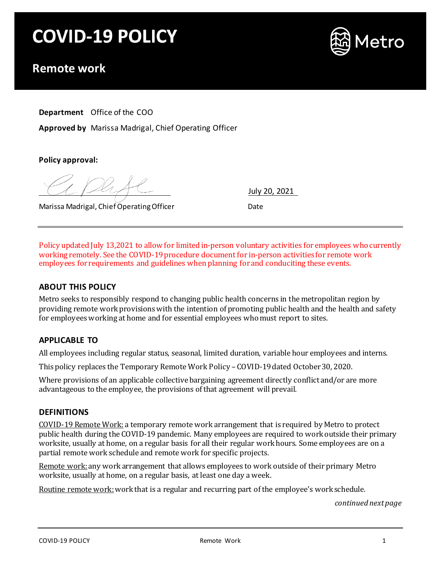# **COVID-19 POLICY**



# **Remote work**

**Department** Office of the COO

**Approved by** Marissa Madrigal, Chief Operating Officer

**Policy approval:**

July 20, 2021

Marissa Madrigal, Chief Operating Officer **Channel Accord Channel** Date

Policy updated July 13,2021 to allow for limited in-person voluntary activities for employees who currently working remotely. See the COVID-19 procedure document for in-person activities for remote work employees for requirements and guidelines when planning for and conduciting these events.

# **ABOUT THIS POLICY**

Metro seeks to responsibly respond to changing public health concerns in the metropolitan region by providing remote work provisions with the intention of promoting public health and the health and safety for employees working at home and for essential employees who must report to sites.

# **APPLICABLE TO**

All employees including regular status, seasonal, limited duration, variable hour employees and interns.

This policy replaces the Temporary Remote Work Policy – COVID-19dated October 30, 2020.

Where provisions of an applicable collective bargaining agreement directly conflict and/or are more advantageous to the employee, the provisions of that agreement will prevail.

## **DEFINITIONS**

COVID-19 Remote Work: a temporary remote work arrangement that is required by Metro to protect public health during the COVID-19 pandemic. Many employees are required to work outside their primary worksite, usually at home, on a regular basis for all their regular work hours. Some employees are on a partial remote work schedule and remote work for specific projects.

Remote work: any work arrangement that allows employees to work outside of their primary Metro worksite, usually at home, on a regular basis, at least one day a week.

Routine remote work: work that is a regular and recurring part of the employee's work schedule.

*continued next page*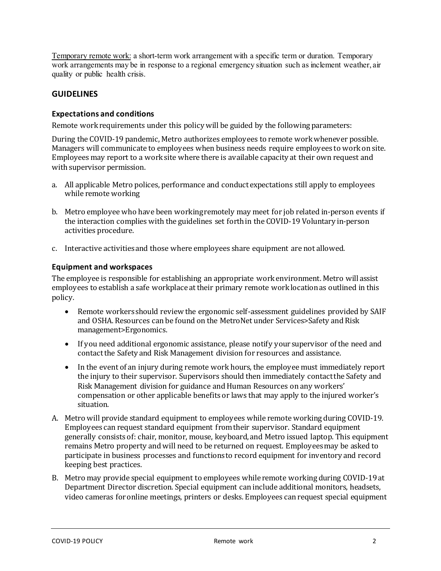Temporary remote work: a short-term work arrangement with a specific term or duration. Temporary work arrangements may be in response to a regional emergency situation such as inclement weather, air quality or public health crisis.

# **GUIDELINES**

### **Expectations and conditions**

Remote work requirements under this policy will be guided by the following parameters:

During the COVID-19 pandemic, Metro authorizes employees to remote work whenever possible. Managers will communicate to employees when business needs require employees to work on site. Employees may report to a work site where there is available capacity at their own request and with supervisor permission.

- a. All applicable Metro polices, performance and conduct expectations still apply to employees while remote working
- b. Metro employee who have been working remotely may meet for job related in-person events if the interaction complies with the guidelines set forth in the COVID-19 Voluntary in-person activities procedure.
- c. Interactive activities and those where employees share equipment are not allowed.

#### **Equipment and workspaces**

The employee is responsible for establishing an appropriate work environment. Metro will assist employees to establish a safe workplace at their primary remote work location as outlined in this policy.

- Remote workers should review the ergonomic self-assessment guidelines provided by SAIF and OSHA. Resources can be found on the MetroNet under Services>Safety and Risk management>Ergonomics.
- If you need additional ergonomic assistance, please notify your supervisor of the need and contact the Safety and Risk Management division for resources and assistance.
- In the event of an injury during remote work hours, the employee must immediately report the injury to their supervisor. Supervisors should then immediately contact the Safety and Risk Management division for guidance and Human Resources on any workers' compensation or other applicable benefits or laws that may apply to the injured worker's situation.
- A. Metro will provide standard equipment to employees while remote working during COVID-19. Employees can request standard equipment from their supervisor. Standard equipment generally consists of: chair, monitor, mouse, keyboard, and Metro issued laptop. This equipment remains Metro property and will need to be returned on request. Employees may be asked to participate in business processes and functions to record equipment for inventory and record keeping best practices.
- B. Metro may provide special equipment to employees while remote working during COVID-19 at Department Director discretion. Special equipment can include additional monitors, headsets, video cameras for online meetings, printers or desks. Employees can request special equipment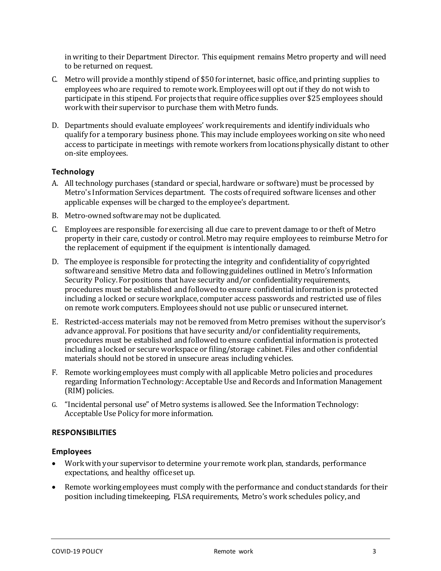in writing to their Department Director. This equipment remains Metro property and will need to be returned on request.

- C. Metro will provide a monthly stipend of \$50 for internet, basic office, and printing supplies to employees who are required to remote work.Employees will opt out if they do not wish to participate in this stipend. For projects that require office supplies over \$25 employees should work with their supervisor to purchase them with Metro funds.
- D. Departments should evaluate employees' work requirements and identify individuals who qualify for a temporary business phone. This may include employees working on site whoneed access to participate in meetings with remote workers from locations physically distant to other on-site employees.

# **Technology**

- A. All technology purchases (standard or special, hardware or software) must be processed by Metro's Information Services department. The costs of required software licenses and other applicable expenses will be charged to the employee's department.
- B. Metro-owned software may not be duplicated.
- C. Employees are responsible for exercising all due care to prevent damage to or theft of Metro property in their care, custody or control. Metro may require employees to reimburse Metro for the replacement of equipment if the equipment is intentionally damaged.
- D. The employee is responsible for protecting the integrity and confidentiality of copyrighted software and sensitive Metro data and following guidelines outlined in Metro's Information Security Policy. For positions that have security and/or confidentiality requirements, procedures must be established and followed to ensure confidential information is protected including a locked or secure workplace, computer access passwords and restricted use of files on remote work computers. Employees should not use public or unsecured internet.
- E. Restricted-access materials may not be removed from Metro premises without the supervisor's advance approval. For positions that have security and/or confidentiality requirements, procedures must be established and followed to ensure confidential information is protected including a locked or secure workspace or filing/storage cabinet. Files and other confidential materials should not be stored in unsecure areas including vehicles.
- F. Remote working employees must comply with all applicable Metro policies and procedures regarding Information Technology: Acceptable Use and Records and Information Management (RIM) policies.
- G. "Incidental personal use" of Metro systems is allowed. See the Information Technology: Acceptable Use Policy formore information.

### **RESPONSIBILITIES**

### **Employees**

- Work with your supervisor to determine your remote work plan, standards, performance expectations, and healthy office set up.
- Remote working employees must comply with the performance and conduct standards for their position including timekeeping, FLSA requirements, Metro's work schedules policy, and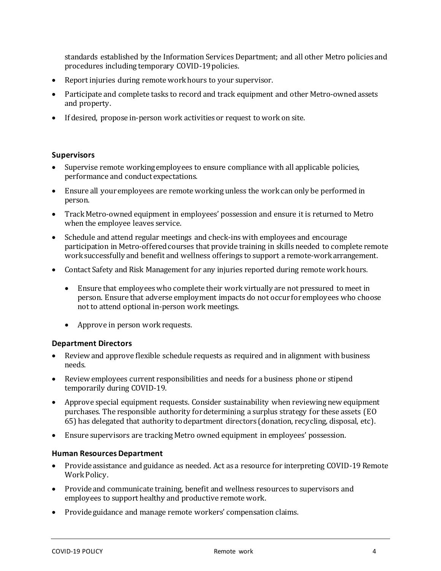standards established by the Information Services Department; and all other Metro policies and procedures including temporary COVID-19 policies.

- Report injuries during remote work hours to your supervisor.
- Participate and complete tasks to record and track equipment and other Metro-owned assets and property.
- If desired, propose in-person work activities or request to work on site.

#### **Supervisors**

- Supervise remote working employees to ensure compliance with all applicable policies, performance and conduct expectations.
- Ensure all your employees are remote working unless the work can only be performed in person.
- Track Metro-owned equipment in employees' possession and ensure it is returned to Metro when the employee leaves service.
- Schedule and attend regular meetings and check-ins with employees and encourage participation in Metro-offered courses that provide training in skills needed to complete remote work successfully and benefit and wellness offerings to support a remote-work arrangement.
- Contact Safety and Risk Management for any injuries reported during remote work hours.
	- Ensure that employees who complete their work virtually are not pressured to meet in person. Ensure that adverse employment impacts do not occur for employees who choose not to attend optional in-person work meetings.
	- Approve in person work requests.

#### **Department Directors**

- Review and approve flexible schedule requests as required and in alignment with business needs.
- Review employees current responsibilities and needs for a business phone or stipend temporarily during COVID-19.
- Approve special equipment requests. Consider sustainability when reviewing new equipment purchases. The responsible authority for determining a surplus strategy for these assets (EO 65) has delegated that authority to department directors (donation, recycling, disposal, etc).
- Ensure supervisors are tracking Metro owned equipment in employees' possession.

#### **Human Resources Department**

- Provide assistance and guidance as needed. Act as a resource for interpreting COVID-19 Remote Work Policy.
- Provide and communicate training, benefit and wellness resources to supervisors and employees to support healthy and productive remote work.
- Provide guidance and manage remote workers' compensation claims.